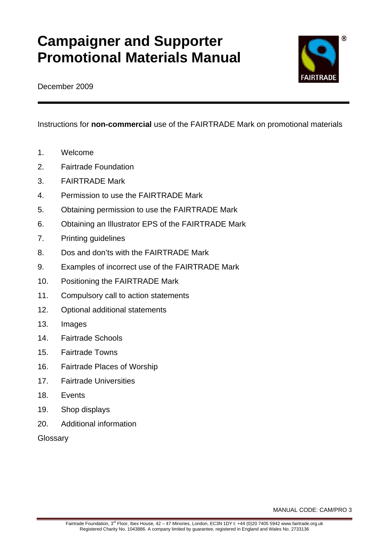# **Campaigner and Supporter Promotional Materials Manual**



December 2009

Instructions for **non-commercial** use of the FAIRTRADE Mark on promotional materials

- 1. Welcome
- 2. Fairtrade Foundation
- 3. FAIRTRADE Mark
- 4. Permission to use the FAIRTRADE Mark
- 5. Obtaining permission to use the FAIRTRADE Mark
- 6. Obtaining an Illustrator EPS of the FAIRTRADE Mark
- 7. Printing guidelines
- 8. Dos and don'ts with the FAIRTRADE Mark
- 9. Examples of incorrect use of the FAIRTRADE Mark
- 10. Positioning the FAIRTRADE Mark
- 11. Compulsory call to action statements
- 12. Optional additional statements
- 13. Images
- 14. Fairtrade Schools
- 15. Fairtrade Towns
- 16. Fairtrade Places of Worship
- 17. Fairtrade Universities
- 18. Events
- 19. Shop displays
- 20. Additional information

**Glossary** 

MANUAL CODE: CAM/PRO 3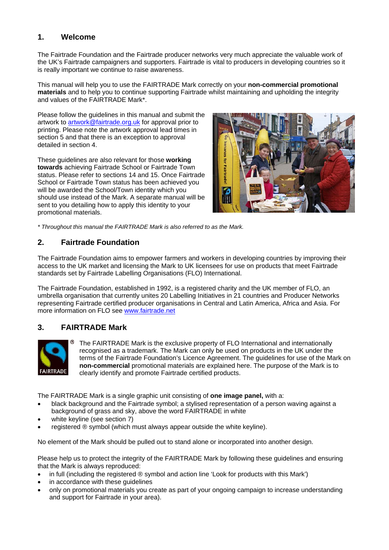# **1. Welcome**

The Fairtrade Foundation and the Fairtrade producer networks very much appreciate the valuable work of the UK's Fairtrade campaigners and supporters. Fairtrade is vital to producers in developing countries so it is really important we continue to raise awareness.

This manual will help you to use the FAIRTRADE Mark correctly on your **non-commercial promotional materials** and to help you to continue supporting Fairtrade whilst maintaining and upholding the integrity and values of the FAIRTRADE Mark\*.

Please follow the guidelines in this manual and submit the artwork to artwork@fairtrade.org.uk for approval prior to printing. Please note the artwork approval lead times in section 5 and that there is an exception to approval detailed in section 4.

These guidelines are also relevant for those **working towards** achieving Fairtrade School or Fairtrade Town status. Please refer to sections 14 and 15. Once Fairtrade School or Fairtrade Town status has been achieved you will be awarded the School/Town identity which you should use instead of the Mark. A separate manual will be sent to you detailing how to apply this identity to your promotional materials.



*\* Throughout this manual the FAIRTRADE Mark is also referred to as the Mark.* 

# **2. Fairtrade Foundation**

The Fairtrade Foundation aims to empower farmers and workers in developing countries by improving their access to the UK market and licensing the Mark to UK licensees for use on products that meet Fairtrade standards set by Fairtrade Labelling Organisations (FLO) International.

The Fairtrade Foundation, established in 1992, is a registered charity and the UK member of FLO, an umbrella organisation that currently unites 20 Labelling Initiatives in 21 countries and Producer Networks representing Fairtrade certified producer organisations in Central and Latin America, Africa and Asia. For more information on FLO see www.fairtrade.net

# **3. FAIRTRADE Mark**



The FAIRTRADE Mark is the exclusive property of FLO International and internationally recognised as a trademark. The Mark can only be used on products in the UK under the terms of the Fairtrade Foundation's Licence Agreement. The guidelines for use of the Mark on **non-commercial** promotional materials are explained here. The purpose of the Mark is to clearly identify and promote Fairtrade certified products.

The FAIRTRADE Mark is a single graphic unit consisting of **one image panel,** with a:

- black background and the Fairtrade symbol; a stylised representation of a person waving against a background of grass and sky, above the word FAIRTRADE in white
- white keyline (see section 7)
- registered ® symbol (which must always appear outside the white keyline).

No element of the Mark should be pulled out to stand alone or incorporated into another design.

Please help us to protect the integrity of the FAIRTRADE Mark by following these guidelines and ensuring that the Mark is always reproduced:

- in full (including the registered ® symbol and action line 'Look for products with this Mark')
- in accordance with these quidelines
- only on promotional materials you create as part of your ongoing campaign to increase understanding and support for Fairtrade in your area).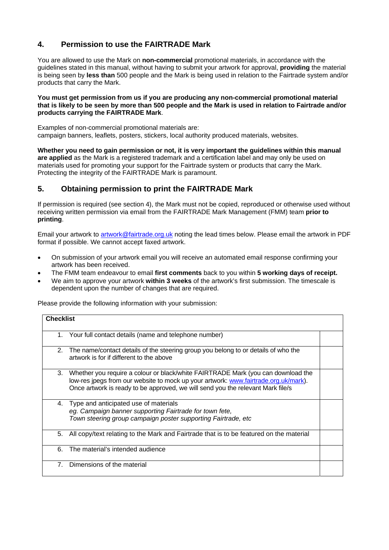# **4. Permission to use the FAIRTRADE Mark**

You are allowed to use the Mark on **non-commercial** promotional materials, in accordance with the guidelines stated in this manual, without having to submit your artwork for approval, **providing** the material is being seen by **less than** 500 people and the Mark is being used in relation to the Fairtrade system and/or products that carry the Mark.

#### **You must get permission from us if you are producing any non-commercial promotional material that is likely to be seen by more than 500 people and the Mark is used in relation to Fairtrade and/or products carrying the FAIRTRADE Mark**.

Examples of non-commercial promotional materials are: campaign banners, leaflets, posters, stickers, local authority produced materials, websites.

**Whether you need to gain permission or not, it is very important the guidelines within this manual are applied** as the Mark is a registered trademark and a certification label and may only be used on materials used for promoting your support for the Fairtrade system or products that carry the Mark. Protecting the integrity of the FAIRTRADE Mark is paramount.

# **5. Obtaining permission to print the FAIRTRADE Mark**

If permission is required (see section 4), the Mark must not be copied, reproduced or otherwise used without receiving written permission via email from the FAIRTRADE Mark Management (FMM) team **prior to printing**.

Email your artwork to artwork@fairtrade.org.uk noting the lead times below. Please email the artwork in PDF format if possible. We cannot accept faxed artwork.

- On submission of your artwork email you will receive an automated email response confirming your artwork has been received.
- The FMM team endeavour to email **first comments** back to you within **5 working days of receipt.**
- We aim to approve your artwork **within 3 weeks** of the artwork's first submission. The timescale is dependent upon the number of changes that are required.

Please provide the following information with your submission:

| <b>Checklist</b> |                                                                                                                                                                                                                                                            |  |
|------------------|------------------------------------------------------------------------------------------------------------------------------------------------------------------------------------------------------------------------------------------------------------|--|
| 1.               | Your full contact details (name and telephone number)                                                                                                                                                                                                      |  |
| 2.               | The name/contact details of the steering group you belong to or details of who the<br>artwork is for if different to the above                                                                                                                             |  |
| 3.               | Whether you require a colour or black/white FAIRTRADE Mark (you can download the<br>low-res jpegs from our website to mock up your artwork: www.fairtrade.org.uk/mark).<br>Once artwork is ready to be approved, we will send you the relevant Mark file/s |  |
| 4.               | Type and anticipated use of materials<br>eg. Campaign banner supporting Fairtrade for town fete,<br>Town steering group campaign poster supporting Fairtrade, etc                                                                                          |  |
| 5.               | All copy/text relating to the Mark and Fairtrade that is to be featured on the material                                                                                                                                                                    |  |
| 6.               | The material's intended audience                                                                                                                                                                                                                           |  |
| 7 <sub>1</sub>   | Dimensions of the material                                                                                                                                                                                                                                 |  |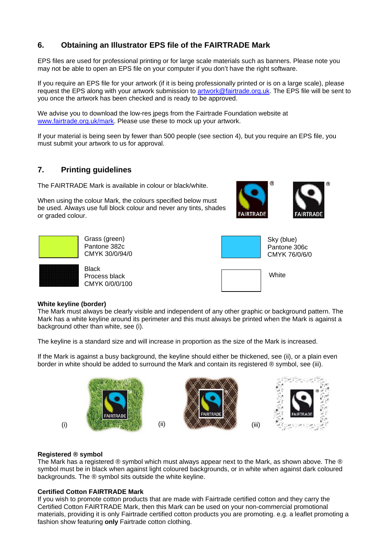# **6. Obtaining an Illustrator EPS file of the FAIRTRADE Mark**

EPS files are used for professional printing or for large scale materials such as banners. Please note you may not be able to open an EPS file on your computer if you don't have the right software.

If you require an EPS file for your artwork (if it is being professionally printed or is on a large scale), please request the EPS along with your artwork submission to artwork@fairtrade.org.uk. The EPS file will be sent to you once the artwork has been checked and is ready to be approved.

We advise you to download the low-res ipegs from the Fairtrade Foundation website at www.fairtrade.org.uk/mark. Please use these to mock up your artwork.

If your material is being seen by fewer than 500 people (see section 4), but you require an EPS file, you must submit your artwork to us for approval.

# **7. Printing guidelines**

The FAIRTRADE Mark is available in colour or black/white.

When using the colour Mark, the colours specified below must be used. Always use full block colour and never any tints, shades or graded colour.





Grass (green) Pantone 382c CMYK 30/0/94/0

**Black** Process black CMYK 0/0/0/100



CMYK 76/0/6/0

**White** 

#### **White keyline (border)**

The Mark must always be clearly visible and independent of any other graphic or background pattern. The Mark has a white keyline around its perimeter and this must always be printed when the Mark is against a background other than white, see (i).

The keyline is a standard size and will increase in proportion as the size of the Mark is increased.

If the Mark is against a busy background, the keyline should either be thickened, see (ii), or a plain even border in white should be added to surround the Mark and contain its registered ® symbol, see (iii).



#### **Registered ® symbol**

The Mark has a registered ® symbol which must always appear next to the Mark, as shown above*.* The ® symbol must be in black when against light coloured backgrounds, or in white when against dark coloured backgrounds. The ® symbol sits outside the white keyline.

#### **Certified Cotton FAIRTRADE Mark**

If you wish to promote cotton products that are made with Fairtrade certified cotton and they carry the Certified Cotton FAIRTRADE Mark, then this Mark can be used on your non-commercial promotional materials, providing it is only Fairtrade certified cotton products you are promoting. e.g. a leaflet promoting a fashion show featuring **only** Fairtrade cotton clothing.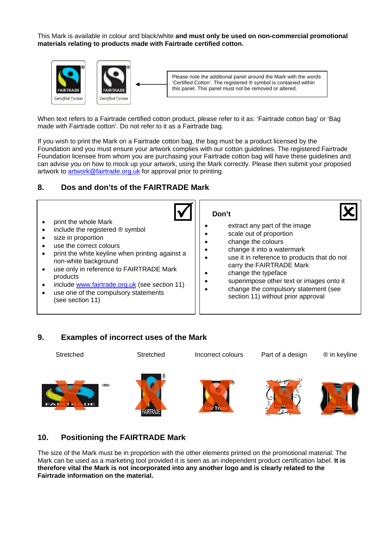This Mark is available in colour and black/white **and must only be used on non-commercial promotional materials relating to products made with Fairtrade certified cotton.** 



When text refers to a Fairtrade certified cotton product, please refer to it as: 'Fairtrade cotton bag' or 'Bag made with Fairtrade cotton'. Do not refer to it as a Fairtrade bag.

If you wish to print the Mark on a Fairtrade cotton bag, the bag must be a product licensed by the Foundation and you must ensure your artwork complies with our cotton guidelines. The registered Fairtrade Foundation licensee from whom you are purchasing your Fairtrade cotton bag will have these guidelines and can advise you on how to mock up your artwork, using the Mark correctly. Please then submit your proposed artwork to artwork@fairtrade.org.uk for approval prior to printing.

# **8. Dos and don'ts of the FAIRTRADE Mark**



### **9. Examples of incorrect uses of the Mark**

Stretched Stretched Incorrect colours Part of a design ® in keyline





# **10. Positioning the FAIRTRADE Mark**

The size of the Mark must be in proportion with the other elements printed on the promotional material. The Mark can be used as a marketing tool provided it is seen as an independent product certification label. **It is therefore vital the Mark is not incorporated into any another logo and is clearly related to the Fairtrade information on the material.**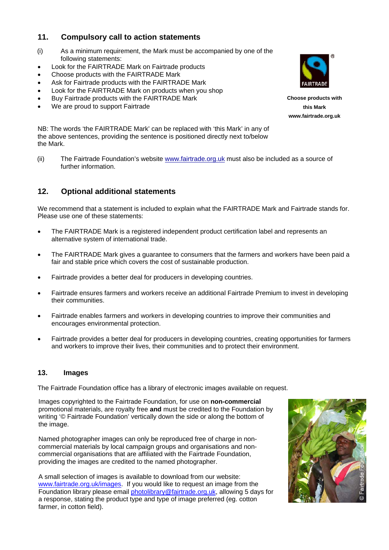# **11. Compulsory call to action statements**

- (i) As a minimum requirement, the Mark must be accompanied by one of the following statements:
- Look for the FAIRTRADE Mark on Fairtrade products
- Choose products with the FAIRTRADE Mark
- Ask for Fairtrade products with the FAIRTRADE Mark
- Look for the FAIRTRADE Mark on products when you shop
- Buy Fairtrade products with the FAIRTRADE Mark
- We are proud to support Fairtrade

**Choose products with this Mark www.fairtrade.org.uk**

NB: The words 'the FAIRTRADE Mark' can be replaced with 'this Mark' in any of the above sentences, providing the sentence is positioned directly next to/below the Mark.

(ii) The Fairtrade Foundation's website www.fairtrade.org.uk must also be included as a source of further information.

# **12. Optional additional statements**

We recommend that a statement is included to explain what the FAIRTRADE Mark and Fairtrade stands for. Please use one of these statements:

- The FAIRTRADE Mark is a registered independent product certification label and represents an alternative system of international trade.
- The FAIRTRADE Mark gives a guarantee to consumers that the farmers and workers have been paid a fair and stable price which covers the cost of sustainable production.
- Fairtrade provides a better deal for producers in developing countries.
- Fairtrade ensures farmers and workers receive an additional Fairtrade Premium to invest in developing their communities.
- Fairtrade enables farmers and workers in developing countries to improve their communities and encourages environmental protection.
- Fairtrade provides a better deal for producers in developing countries, creating opportunities for farmers and workers to improve their lives, their communities and to protect their environment.

### **13. Images**

The Fairtrade Foundation office has a library of electronic images available on request.

Images copyrighted to the Fairtrade Foundation, for use on **non-commercial** promotional materials, are royalty free **and** must be credited to the Foundation by writing '© Fairtrade Foundation' vertically down the side or along the bottom of the image.

Named photographer images can only be reproduced free of charge in noncommercial materials by local campaign groups and organisations and noncommercial organisations that are affiliated with the Fairtrade Foundation, providing the images are credited to the named photographer.

A small selection of images is available to download from our website: www.fairtrade.org.uk/images. If you would like to request an image from the Foundation library please email photolibrary@fairtrade.org.uk, allowing 5 days for a response, stating the product type and type of image preferred (eg. cotton farmer, in cotton field).

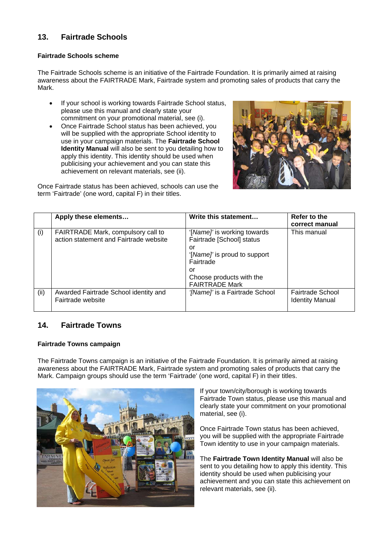# **13. Fairtrade Schools**

#### **Fairtrade Schools scheme**

The Fairtrade Schools scheme is an initiative of the Fairtrade Foundation. It is primarily aimed at raising awareness about the FAIRTRADE Mark, Fairtrade system and promoting sales of products that carry the Mark.

- If your school is working towards Fairtrade School status, please use this manual and clearly state your commitment on your promotional material, see (i).
- Once Fairtrade School status has been achieved, you will be supplied with the appropriate School identity to use in your campaign materials. The **Fairtrade School Identity Manual** will also be sent to you detailing how to apply this identity. This identity should be used when publicising your achievement and you can state this achievement on relevant materials, see (ii).



Once Fairtrade status has been achieved, schools can use the term 'Fairtrade' (one word, capital F) in their titles.

|      | Apply these elements                                                         | Write this statement                                           | Refer to the<br>correct manual             |
|------|------------------------------------------------------------------------------|----------------------------------------------------------------|--------------------------------------------|
| (i)  | FAIRTRADE Mark, compulsory call to<br>action statement and Fairtrade website | '[Name]' is working towards<br>Fairtrade [School] status<br>or | This manual                                |
|      |                                                                              | '[Name]' is proud to support<br>Fairtrade                      |                                            |
|      |                                                                              | or<br>Choose products with the<br><b>FAIRTRADE Mark</b>        |                                            |
| (ii) | Awarded Fairtrade School identity and<br>Fairtrade website                   | '[Name]' is a Fairtrade School                                 | Fairtrade School<br><b>Identity Manual</b> |

# **14. Fairtrade Towns**

### **Fairtrade Towns campaign**

The Fairtrade Towns campaign is an initiative of the Fairtrade Foundation. It is primarily aimed at raising awareness about the FAIRTRADE Mark, Fairtrade system and promoting sales of products that carry the Mark. Campaign groups should use the term 'Fairtrade' (one word, capital F) in their titles.



If your town/city/borough is working towards Fairtrade Town status, please use this manual and clearly state your commitment on your promotional material, see (i).

Once Fairtrade Town status has been achieved, you will be supplied with the appropriate Fairtrade Town identity to use in your campaign materials.

The **Fairtrade Town Identity Manual** will also be sent to you detailing how to apply this identity. This identity should be used when publicising your achievement and you can state this achievement on relevant materials, see (ii).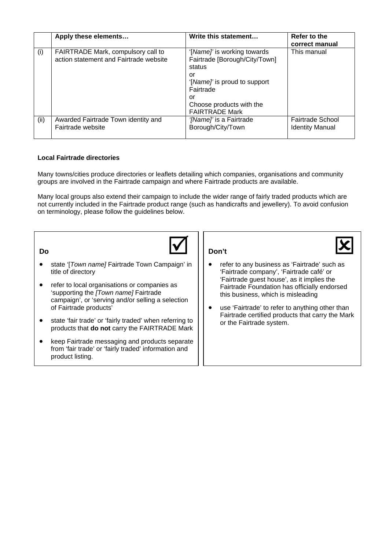|      | Apply these elements                                                         | Write this statement                                                                                                                                                                 | Refer to the<br>correct manual                    |
|------|------------------------------------------------------------------------------|--------------------------------------------------------------------------------------------------------------------------------------------------------------------------------------|---------------------------------------------------|
| (i)  | FAIRTRADE Mark, compulsory call to<br>action statement and Fairtrade website | '[Name]' is working towards<br>Fairtrade [Borough/City/Town]<br>status<br>Οľ<br>'[Name]' is proud to support<br>Fairtrade<br>Ωľ<br>Choose products with the<br><b>FAIRTRADE Mark</b> | This manual                                       |
| (ii) | Awarded Fairtrade Town identity and<br>Fairtrade website                     | '[Name]' is a Fairtrade<br>Borough/City/Town                                                                                                                                         | <b>Fairtrade School</b><br><b>Identity Manual</b> |

#### **Local Fairtrade directories**

Many towns/cities produce directories or leaflets detailing which companies, organisations and community groups are involved in the Fairtrade campaign and where Fairtrade products are available.

Many local groups also extend their campaign to include the wider range of fairly traded products which are not currently included in the Fairtrade product range (such as handicrafts and jewellery). To avoid confusion on terminology, please follow the guidelines below.



- state '[*Town name]* Fairtrade Town Campaign' in title of directory
- refer to local organisations or companies as 'supporting the *[Town name]* Fairtrade campaign', or 'serving and/or selling a selection of Fairtrade products'
- state 'fair trade' or 'fairly traded' when referring to products that **do not** carry the FAIRTRADE Mark
- keep Fairtrade messaging and products separate from 'fair trade' or 'fairly traded' information and product listing.



- refer to any business as 'Fairtrade' such as 'Fairtrade company', 'Fairtrade café' or 'Fairtrade guest house', as it implies the Fairtrade Foundation has officially endorsed this business, which is misleading
- use 'Fairtrade' to refer to anything other than Fairtrade certified products that carry the Mark or the Fairtrade system.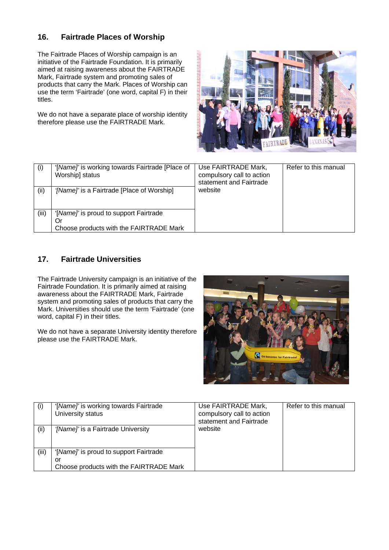# **16. Fairtrade Places of Worship**

The Fairtrade Places of Worship campaign is an initiative of the Fairtrade Foundation. It is primarily aimed at raising awareness about the FAIRTRADE Mark, Fairtrade system and promoting sales of products that carry the Mark. Places of Worship can use the term 'Fairtrade' (one word, capital F) in their titles.

We do not have a separate place of worship identity therefore please use the FAIRTRADE Mark.



| (i)   | '[Name]' is working towards Fairtrade [Place of<br>Worship] status | Use FAIRTRADE Mark,<br>compulsory call to action<br>statement and Fairtrade | Refer to this manual |
|-------|--------------------------------------------------------------------|-----------------------------------------------------------------------------|----------------------|
| (ii)  | '[Name]' is a Fairtrade [Place of Worship]                         | website                                                                     |                      |
|       |                                                                    |                                                                             |                      |
| (iii) | '[Name]' is proud to support Fairtrade                             |                                                                             |                      |
|       | Ör                                                                 |                                                                             |                      |
|       | Choose products with the FAIRTRADE Mark                            |                                                                             |                      |

# **17. Fairtrade Universities**

The Fairtrade University campaign is an initiative of the Fairtrade Foundation. It is primarily aimed at raising awareness about the FAIRTRADE Mark, Fairtrade system and promoting sales of products that carry the Mark. Universities should use the term 'Fairtrade' (one word, capital F) in their titles.

We do not have a separate University identity therefore please use the FAIRTRADE Mark.



| (i)   | '[Name]' is working towards Fairtrade<br>University status | Use FAIRTRADE Mark,<br>compulsory call to action<br>statement and Fairtrade | Refer to this manual |
|-------|------------------------------------------------------------|-----------------------------------------------------------------------------|----------------------|
| (ii)  | '[Name]' is a Fairtrade University                         | website                                                                     |                      |
|       |                                                            |                                                                             |                      |
| (iii) | '[Name]' is proud to support Fairtrade                     |                                                                             |                      |
|       | Οľ                                                         |                                                                             |                      |
|       | Choose products with the FAIRTRADE Mark                    |                                                                             |                      |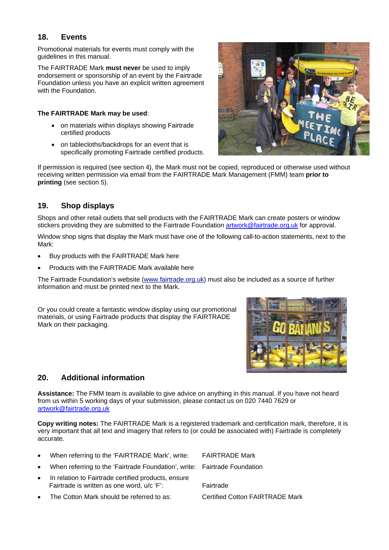## **18. Events**

Promotional materials for events must comply with the guidelines in this manual.

The FAIRTRADE Mark **must never** be used to imply endorsement or sponsorship of an event by the Fairtrade Foundation unless you have an explicit written agreement with the Foundation.

#### **The FAIRTRADE Mark may be used**:

- on materials within displays showing Fairtrade certified products
- on tablecloths/backdrops for an event that is specifically promoting Fairtrade certified products.



If permission is required (see section 4), the Mark must not be copied, reproduced or otherwise used without receiving written permission via email from the FAIRTRADE Mark Management (FMM) team **prior to printing** (see section 5).

# **19. Shop displays**

Shops and other retail outlets that sell products with the FAIRTRADE Mark can create posters or window stickers providing they are submitted to the Fairtrade Foundation artwork@fairtrade.org.uk for approval.

Window shop signs that display the Mark must have one of the following call-to-action statements, next to the Mark:

- Buy products with the FAIRTRADE Mark here
- Products with the FAIRTRADE Mark available here

The Fairtrade Foundation's website (www.fairtrade.org.uk) must also be included as a source of further information and must be printed next to the Mark.

Or you could create a fantastic window display using our promotional materials, or using Fairtrade products that display the FAIRTRADE Mark on their packaging.



# **20. Additional information**

**Assistance:** The FMM team is available to give advice on anything in this manual. If you have not heard from us within 5 working days of your submission, please contact us on 020 7440 7629 or artwork@fairtrade.org.uk

**Copy writing notes:** The FAIRTRADE Mark is a registered trademark and certification mark, therefore, it is very important that all text and imagery that refers to (or could be associated with) Fairtrade is completely accurate.

- When referring to the 'FAIRTRADE Mark', write: FAIRTRADE Mark • When referring to the 'Fairtrade Foundation', write: Fairtrade Foundation In relation to Fairtrade certified products, ensure Fairtrade is written as one word, u/c 'F': Fairtrade
- The Cotton Mark should be referred to as: Certified Cotton FAIRTRADE Mark